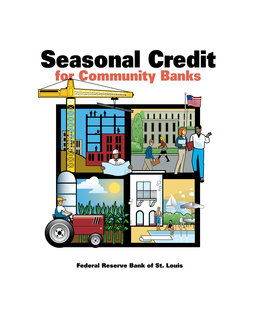

Federal Reserve Bank of St. Louis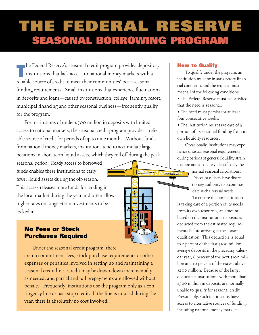# THE FEDERAL RESERVE Seasonal Borrowing Program

he Federal Reserve's seasonal credit program provides depository institutions that lack access to national money markets with a reliable source of credit to meet their communities' peak seasonal funding requirements. Small institutions that experience fluctuations in deposits and loans—caused by construction, college, farming, resort, municipal financing and other seasonal business—frequently qualify for the program. T

For institutions of under \$500 million in deposits with limited access to national markets, the seasonal credit program provides a reliable source of credit for periods of up to nine months. Without funds from national money markets, institutions tend to accumulate large positions in short-term liquid assets, which they roll off during the peak

seasonal period. Ready access to borrowed funds enables these institutions to carry fewer liquid assets during the off-season. This access releases more funds for lending in the local market during the year and often allows higher rates on longer-term investments to be locked in.



# No Fees or Stock Purchases Required

Under the seasonal credit program, there are no commitment fees, stock purchase requirements or other expenses or penalties involved in setting up and maintaining a seasonal credit line. Credit may be drawn down incrementally as needed, and partial and full prepayments are allowed without penalty. Frequently, institutions use the program only as a contingency line or backstop credit. If the line is unused during the year, there is absolutely no cost involved.

# How to Qualify

To qualify under the program, an institution must be in satisfactory financial condition, and the request must meet all of the following conditions:

• The Federal Reserve must be satisfied that the need is seasonal.

• The need must persist for at least four consecutive weeks.

• The institution must take care of a portion of its seasonal funding from its own liquidity resources.

Occasionally, institutions may experience unusual seasonal requirements during periods of general liquidity strain that are not adequately identified by the

> normal seasonal calculations. Discount officers have discretionary authority to accommodate such unusual needs.

To ensure that an institution is taking care of a portion of its needs from its own resources, an amount based on the institution's deposits is deducted from the estimated requirements before arriving at the seasonal qualification. This deductible is equal to 2 percent of the first \$100 million average deposits in the preceding calendar year, 6 percent of the next \$100 million and 10 percent of the excess above \$200 million. Because of the larger deductible, institutions with more than \$500 million in deposits are normally unable to qualify for seasonal credit. Presumably, such institutions have access to alternative sources of funding, including national money markets.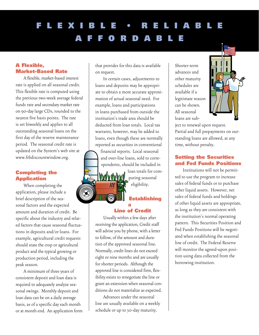#### F le x i ble • R el i able E A F F O R D Д R

### A Flexible, Market-Based Rate

A flexible, market-based interest rate is applied on all seasonal credit. This flexible rate is computed using the previous two-week average federal funds rate and secondary market rate on 90-day large CDs, rounded to the nearest five basis points. The rate is set biweekly and applies to all outstanding seasonal loans on the first day of the reserve maintenance period. The seasonal credit rate is updated on the System's web site at www.frbdiscountwindow.org.

# Completing the **Application**

When completing the application, please include a brief description of the seasonal factors and the expected amount and duration of credit. Be specific about the industry and related factors that cause seasonal fluctuations in deposits and/or loans. For example, agricultural credit requests should state the crop or agricultural product and the typical growing or production period, including the peak season.

A minimum of three years of consistent deposit and loan data is required to adequately analyze seasonal swings. Monthly deposit and loan data can be on a daily average basis, as of a specific day each month or at month end. An application form that provides for this data is available on request.

In certain cases, adjustments to loans and deposits may be appropriate to obtain a more accurate approximation of actual seasonal need. For example, loans and participations in loans purchased from outside the institution's trade area should be deducted from loan totals. Local tax warrants, however, may be added to loans, even though these are normally reported as securities in conventional financial reports. Local seasonal and over-line loans, sold to correspondents, should be included in

loan totals for computing seasonal eligibility.

#### stablishing a

# Line of Credit

Usually within a few days after receiving the application, Credit staff will advise you by phone, with a letter to follow, of the amount and duration of the approved seasonal line. Normally, credit lines do not exceed eight or nine months and are usually for shorter periods. Although the approved line is considered firm, flexibility exists to renegotiate the line or grant an extension when seasonal conditions do not materialize as expected.

Advances under the seasonal line are usually available on a weekly schedule or up to 30-day maturity.

Shorter-term advances and other maturity schedules are available if a legitimate reason can be shown. All seasonal loans are sub-



ject to renewal upon request. Partial and full prepayments on outstanding loans are allowed, at any time, without penalty.

# Setting the Securities and Fed Funds Positions

Institutions will not be permitted to use the program to increase sales of federal funds or to purchase other liquid assets. However, net sales of federal funds and holdings of other liquid assets are appropriate, as long as they are consistent with the institution's normal operating pattern. This Securities Position and Fed Funds Positions will be negotiated when establishing the seasonal line of credit. The Federal Reserve will monitor the agreed-upon position using data collected from the borrowing institution.